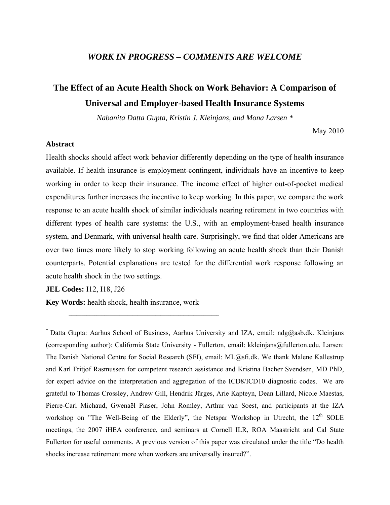### *WORK IN PROGRESS – COMMENTS ARE WELCOME*

# **The Effect of an Acute Health Shock on Work Behavior: A Comparison of Universal and Employer-based Health Insurance Systems**

*Nabanita Datta Gupta, Kristin J. Kleinjans, and Mona Larsen \**

May 2010

### **Abstract**

Health shocks should affect work behavior differently depending on the type of health insurance available. If health insurance is employment-contingent, individuals have an incentive to keep working in order to keep their insurance. The income effect of higher out-of-pocket medical expenditures further increases the incentive to keep working. In this paper, we compare the work response to an acute health shock of similar individuals nearing retirement in two countries with different types of health care systems: the U.S., with an employment-based health insurance system, and Denmark, with universal health care. Surprisingly, we find that older Americans are over two times more likely to stop working following an acute health shock than their Danish counterparts. Potential explanations are tested for the differential work response following an acute health shock in the two settings.

**JEL Codes:** I12, I18, J26

**Key Words:** health shock, health insurance, work

 $\mathcal{L}_\text{max} = \mathcal{L}_\text{max} = \mathcal{L}_\text{max} = \mathcal{L}_\text{max} = \mathcal{L}_\text{max} = \mathcal{L}_\text{max} = \mathcal{L}_\text{max} = \mathcal{L}_\text{max} = \mathcal{L}_\text{max} = \mathcal{L}_\text{max} = \mathcal{L}_\text{max} = \mathcal{L}_\text{max} = \mathcal{L}_\text{max} = \mathcal{L}_\text{max} = \mathcal{L}_\text{max} = \mathcal{L}_\text{max} = \mathcal{L}_\text{max} = \mathcal{L}_\text{max} = \mathcal{$ 

\* Datta Gupta: Aarhus School of Business, Aarhus University and IZA, email: ndg@asb.dk. Kleinjans (corresponding author): California State University - Fullerton, email: kkleinjans@fullerton.edu. Larsen: The Danish National Centre for Social Research (SFI), email: ML@sfi.dk. We thank Malene Kallestrup and Karl Fritjof Rasmussen for competent research assistance and Kristina Bacher Svendsen, MD PhD, for expert advice on the interpretation and aggregation of the ICD8/ICD10 diagnostic codes. We are grateful to Thomas Crossley, Andrew Gill, Hendrik Jürges, Arie Kapteyn, Dean Lillard, Nicole Maestas, Pierre-Carl Michaud, Gwenaël Piaser, John Romley, Arthur van Soest, and participants at the IZA workshop on "The Well-Being of the Elderly", the Netspar Workshop in Utrecht, the 12<sup>th</sup> SOLE meetings, the 2007 iHEA conference, and seminars at Cornell ILR, ROA Maastricht and Cal State Fullerton for useful comments. A previous version of this paper was circulated under the title "Do health shocks increase retirement more when workers are universally insured?".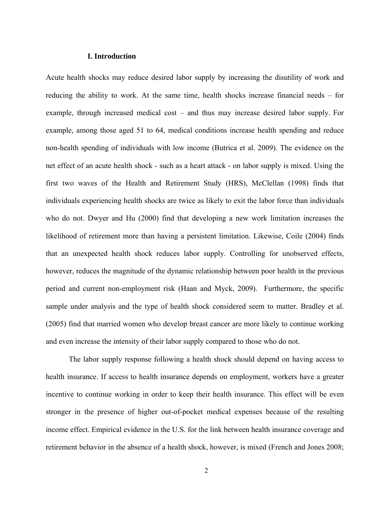#### **I. Introduction**

Acute health shocks may reduce desired labor supply by increasing the disutility of work and reducing the ability to work. At the same time, health shocks increase financial needs – for example, through increased medical cost – and thus may increase desired labor supply. For example, among those aged 51 to 64, medical conditions increase health spending and reduce non-health spending of individuals with low income (Butrica et al. 2009). The evidence on the net effect of an acute health shock - such as a heart attack - on labor supply is mixed. Using the first two waves of the Health and Retirement Study (HRS), McClellan (1998) finds that individuals experiencing health shocks are twice as likely to exit the labor force than individuals who do not. Dwyer and Hu (2000) find that developing a new work limitation increases the likelihood of retirement more than having a persistent limitation. Likewise, Coile (2004) finds that an unexpected health shock reduces labor supply. Controlling for unobserved effects, however, reduces the magnitude of the dynamic relationship between poor health in the previous period and current non-employment risk (Haan and Myck, 2009). Furthermore, the specific sample under analysis and the type of health shock considered seem to matter. Bradley et al. (2005) find that married women who develop breast cancer are more likely to continue working and even increase the intensity of their labor supply compared to those who do not.

The labor supply response following a health shock should depend on having access to health insurance. If access to health insurance depends on employment, workers have a greater incentive to continue working in order to keep their health insurance. This effect will be even stronger in the presence of higher out-of-pocket medical expenses because of the resulting income effect. Empirical evidence in the U.S. for the link between health insurance coverage and retirement behavior in the absence of a health shock, however, is mixed (French and Jones 2008;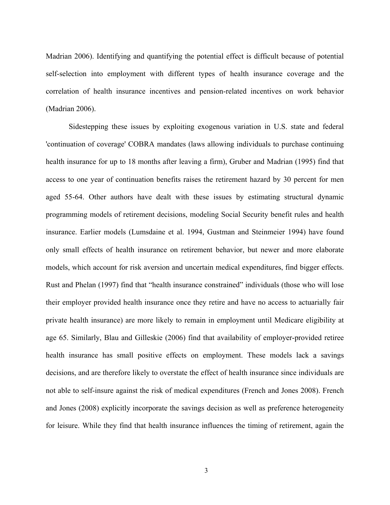Madrian 2006). Identifying and quantifying the potential effect is difficult because of potential self-selection into employment with different types of health insurance coverage and the correlation of health insurance incentives and pension-related incentives on work behavior (Madrian 2006).

Sidestepping these issues by exploiting exogenous variation in U.S. state and federal 'continuation of coverage' COBRA mandates (laws allowing individuals to purchase continuing health insurance for up to 18 months after leaving a firm), Gruber and Madrian (1995) find that access to one year of continuation benefits raises the retirement hazard by 30 percent for men aged 55-64. Other authors have dealt with these issues by estimating structural dynamic programming models of retirement decisions, modeling Social Security benefit rules and health insurance. Earlier models (Lumsdaine et al. 1994, Gustman and Steinmeier 1994) have found only small effects of health insurance on retirement behavior, but newer and more elaborate models, which account for risk aversion and uncertain medical expenditures, find bigger effects. Rust and Phelan (1997) find that "health insurance constrained" individuals (those who will lose their employer provided health insurance once they retire and have no access to actuarially fair private health insurance) are more likely to remain in employment until Medicare eligibility at age 65. Similarly, Blau and Gilleskie (2006) find that availability of employer-provided retiree health insurance has small positive effects on employment. These models lack a savings decisions, and are therefore likely to overstate the effect of health insurance since individuals are not able to self-insure against the risk of medical expenditures (French and Jones 2008). French and Jones (2008) explicitly incorporate the savings decision as well as preference heterogeneity for leisure. While they find that health insurance influences the timing of retirement, again the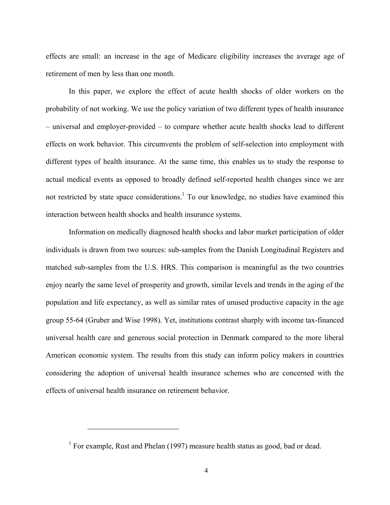effects are small: an increase in the age of Medicare eligibility increases the average age of retirement of men by less than one month.

In this paper, we explore the effect of acute health shocks of older workers on the probability of not working. We use the policy variation of two different types of health insurance – universal and employer-provided – to compare whether acute health shocks lead to different effects on work behavior. This circumvents the problem of self-selection into employment with different types of health insurance. At the same time, this enables us to study the response to actual medical events as opposed to broadly defined self-reported health changes since we are not restricted by state space considerations.<sup>1</sup> To our knowledge, no studies have examined this interaction between health shocks and health insurance systems.

Information on medically diagnosed health shocks and labor market participation of older individuals is drawn from two sources: sub-samples from the Danish Longitudinal Registers and matched sub-samples from the U.S. HRS. This comparison is meaningful as the two countries enjoy nearly the same level of prosperity and growth, similar levels and trends in the aging of the population and life expectancy, as well as similar rates of unused productive capacity in the age group 55-64 (Gruber and Wise 1998). Yet, institutions contrast sharply with income tax-financed universal health care and generous social protection in Denmark compared to the more liberal American economic system. The results from this study can inform policy makers in countries considering the adoption of universal health insurance schemes who are concerned with the effects of universal health insurance on retirement behavior.

<sup>&</sup>lt;sup>1</sup> For example, Rust and Phelan (1997) measure health status as good, bad or dead.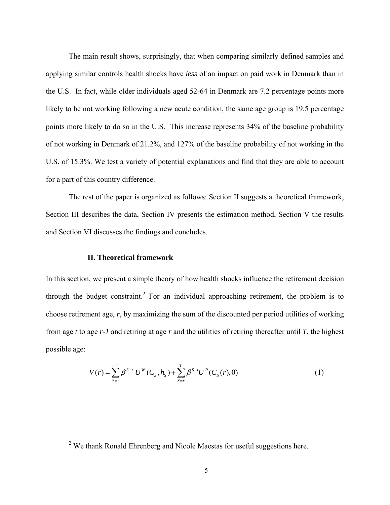The main result shows, surprisingly, that when comparing similarly defined samples and applying similar controls health shocks have *less* of an impact on paid work in Denmark than in the U.S. In fact, while older individuals aged 52-64 in Denmark are 7.2 percentage points more likely to be not working following a new acute condition, the same age group is 19.5 percentage points more likely to do so in the U.S. This increase represents 34% of the baseline probability of not working in Denmark of 21.2%, and 127% of the baseline probability of not working in the U.S. of 15.3%. We test a variety of potential explanations and find that they are able to account for a part of this country difference.

The rest of the paper is organized as follows: Section II suggests a theoretical framework, Section III describes the data, Section IV presents the estimation method, Section V the results and Section VI discusses the findings and concludes.

#### **II. Theoretical framework**

 $\overline{a}$ 

In this section, we present a simple theory of how health shocks influence the retirement decision through the budget constraint.<sup>2</sup> For an individual approaching retirement, the problem is to choose retirement age, *r*, by maximizing the sum of the discounted per period utilities of working from age *t* to age *r-1* and retiring at age *r* and the utilities of retiring thereafter until *T*, the highest possible age:

$$
V(r) = \sum_{s=t}^{r-1} \beta^{s-t} U^{w}(C_s, h_s) + \sum_{s=r}^{T} \beta^{s-t} U^{R}(C_s(r), 0)
$$
 (1)

 $2$  We thank Ronald Ehrenberg and Nicole Maestas for useful suggestions here.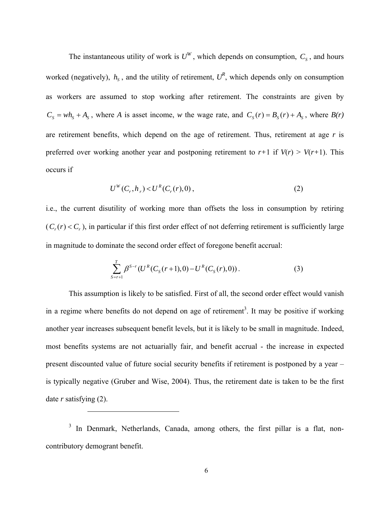The instantaneous utility of work is  $U^W$ , which depends on consumption,  $C_s$ , and hours worked (negatively),  $h_s$ , and the utility of retirement,  $U^R$ , which depends only on consumption as workers are assumed to stop working after retirement. The constraints are given by  $C_s = wh_s + A_s$ , where *A* is asset income, *w* the wage rate, and  $C_s(r) = B_s(r) + A_s$ , where  $B(r)$ are retirement benefits, which depend on the age of retirement. Thus, retirement at age *r* is preferred over working another year and postponing retirement to  $r+1$  if  $V(r) > V(r+1)$ . This occurs if

$$
U^{W}(C_r, h_r) < U^{R}(C_r(r), 0), \tag{2}
$$

i.e., the current disutility of working more than offsets the loss in consumption by retiring  $(C_r(r) < C_r$ ), in particular if this first order effect of not deferring retirement is sufficiently large in magnitude to dominate the second order effect of foregone benefit accrual:

$$
\sum_{S=r+1}^{T} \beta^{S-r} (U^{R}(C_{S}(r+1),0) - U^{R}(C_{S}(r),0)). \tag{3}
$$

This assumption is likely to be satisfied. First of all, the second order effect would vanish in a regime where benefits do not depend on age of retirement<sup>3</sup>. It may be positive if working another year increases subsequent benefit levels, but it is likely to be small in magnitude. Indeed, most benefits systems are not actuarially fair, and benefit accrual - the increase in expected present discounted value of future social security benefits if retirement is postponed by a year – is typically negative (Gruber and Wise, 2004). Thus, the retirement date is taken to be the first date *r* satisfying (2).

<sup>3</sup> In Denmark, Netherlands, Canada, among others, the first pillar is a flat, noncontributory demogrant benefit.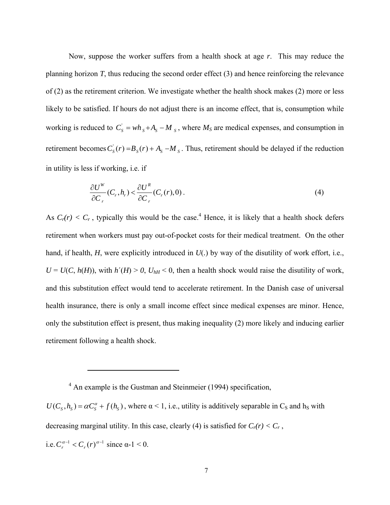Now, suppose the worker suffers from a health shock at age *r*. This may reduce the planning horizon *T*, thus reducing the second order effect (3) and hence reinforcing the relevance of (2) as the retirement criterion. We investigate whether the health shock makes (2) more or less likely to be satisfied. If hours do not adjust there is an income effect, that is, consumption while working is reduced to  $C_s = wh_s + A_s - M_s$ , where  $M_s$  are medical expenses, and consumption in retirement becomes  $C_s(r) = B_s(r) + A_s - M_s$ . Thus, retirement should be delayed if the reduction in utility is less if working, i.e. if

$$
\frac{\partial U^W}{\partial C_r}(C_r, h_r) < \frac{\partial U^R}{\partial C_r}(C_r(r), 0). \tag{4}
$$

As  $C_r(r) < C_r$ , typically this would be the case.<sup>4</sup> Hence, it is likely that a health shock defers retirement when workers must pay out-of-pocket costs for their medical treatment. On the other hand, if health, *H*, were explicitly introduced in *U*(*.*) by way of the disutility of work effort, i.e.,  $U = U(C, h(H))$ , with  $h'(H) > 0$ ,  $U_{hH} < 0$ , then a health shock would raise the disutility of work, and this substitution effect would tend to accelerate retirement. In the Danish case of universal health insurance, there is only a small income effect since medical expenses are minor. Hence, only the substitution effect is present, thus making inequality (2) more likely and inducing earlier retirement following a health shock.

 $\overline{a}$ 

 $U(C_s, h_s) = \alpha C_s^{\alpha} + f(h_s)$ , where  $\alpha < 1$ , i.e., utility is additively separable in C<sub>S</sub> and h<sub>S</sub> with decreasing marginal utility. In this case, clearly (4) is satisfied for  $C_r(r) < C_r$ , i.e.  $C_r^{\alpha-1} < C_r(r)^{\alpha-1}$  since  $\alpha-1 < 0$ .

<sup>&</sup>lt;sup>4</sup> An example is the Gustman and Steinmeier (1994) specification,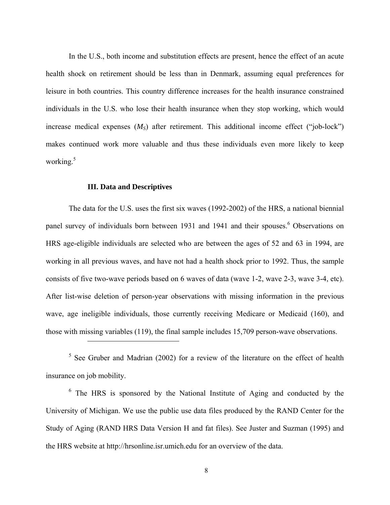In the U.S., both income and substitution effects are present, hence the effect of an acute health shock on retirement should be less than in Denmark, assuming equal preferences for leisure in both countries. This country difference increases for the health insurance constrained individuals in the U.S. who lose their health insurance when they stop working, which would increase medical expenses  $(M<sub>S</sub>)$  after retirement. This additional income effect ("job-lock") makes continued work more valuable and thus these individuals even more likely to keep working. $5$ 

#### **III. Data and Descriptives**

 $\overline{a}$ 

The data for the U.S. uses the first six waves (1992-2002) of the HRS, a national biennial panel survey of individuals born between 1931 and 1941 and their spouses. <sup>6</sup> Observations on HRS age-eligible individuals are selected who are between the ages of 52 and 63 in 1994, are working in all previous waves, and have not had a health shock prior to 1992. Thus, the sample consists of five two-wave periods based on 6 waves of data (wave 1-2, wave 2-3, wave 3-4, etc). After list-wise deletion of person-year observations with missing information in the previous wave, age ineligible individuals, those currently receiving Medicare or Medicaid (160), and those with missing variables (119), the final sample includes 15,709 person-wave observations.

 $5$  See Gruber and Madrian (2002) for a review of the literature on the effect of health insurance on job mobility.

<sup>6</sup> The HRS is sponsored by the National Institute of Aging and conducted by the University of Michigan. We use the public use data files produced by the RAND Center for the Study of Aging (RAND HRS Data Version H and fat files). See Juster and Suzman (1995) and the HRS website at http://hrsonline.isr.umich.edu for an overview of the data.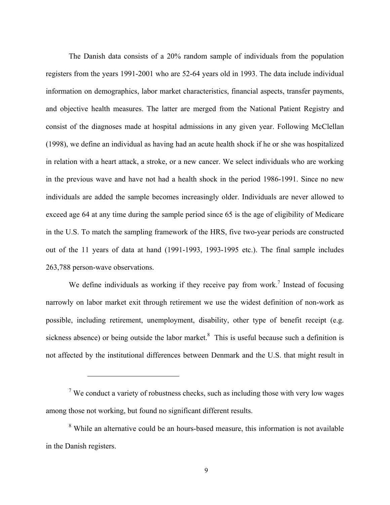The Danish data consists of a 20% random sample of individuals from the population registers from the years 1991-2001 who are 52-64 years old in 1993. The data include individual information on demographics, labor market characteristics, financial aspects, transfer payments, and objective health measures. The latter are merged from the National Patient Registry and consist of the diagnoses made at hospital admissions in any given year. Following McClellan (1998), we define an individual as having had an acute health shock if he or she was hospitalized in relation with a heart attack, a stroke, or a new cancer. We select individuals who are working in the previous wave and have not had a health shock in the period 1986-1991. Since no new individuals are added the sample becomes increasingly older. Individuals are never allowed to exceed age 64 at any time during the sample period since 65 is the age of eligibility of Medicare in the U.S. To match the sampling framework of the HRS, five two-year periods are constructed out of the 11 years of data at hand (1991-1993, 1993-1995 etc.). The final sample includes 263,788 person-wave observations.

We define individuals as working if they receive pay from work.<sup>7</sup> Instead of focusing narrowly on labor market exit through retirement we use the widest definition of non-work as possible, including retirement, unemployment, disability, other type of benefit receipt (e.g. sickness absence) or being outside the labor market.<sup>8</sup> This is useful because such a definition is not affected by the institutional differences between Denmark and the U.S. that might result in

 $7$  We conduct a variety of robustness checks, such as including those with very low wages among those not working, but found no significant different results.

<sup>&</sup>lt;sup>8</sup> While an alternative could be an hours-based measure, this information is not available in the Danish registers.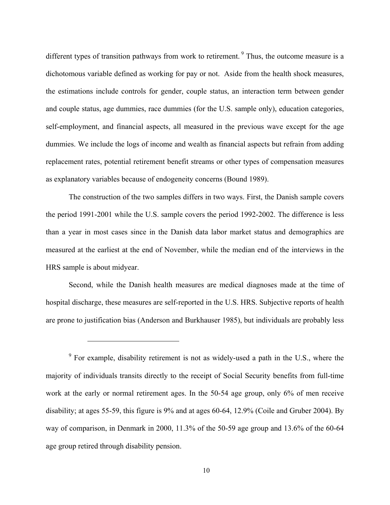different types of transition pathways from work to retirement.<sup>9</sup> Thus, the outcome measure is a dichotomous variable defined as working for pay or not. Aside from the health shock measures, the estimations include controls for gender, couple status, an interaction term between gender and couple status, age dummies, race dummies (for the U.S. sample only), education categories, self-employment, and financial aspects, all measured in the previous wave except for the age dummies. We include the logs of income and wealth as financial aspects but refrain from adding replacement rates, potential retirement benefit streams or other types of compensation measures as explanatory variables because of endogeneity concerns (Bound 1989).

The construction of the two samples differs in two ways. First, the Danish sample covers the period 1991-2001 while the U.S. sample covers the period 1992-2002. The difference is less than a year in most cases since in the Danish data labor market status and demographics are measured at the earliest at the end of November, while the median end of the interviews in the HRS sample is about midyear.

Second, while the Danish health measures are medical diagnoses made at the time of hospital discharge, these measures are self-reported in the U.S. HRS. Subjective reports of health are prone to justification bias (Anderson and Burkhauser 1985), but individuals are probably less

 $9^9$  For example, disability retirement is not as widely-used a path in the U.S., where the majority of individuals transits directly to the receipt of Social Security benefits from full-time work at the early or normal retirement ages. In the 50-54 age group, only 6% of men receive disability; at ages 55-59, this figure is 9% and at ages 60-64, 12.9% (Coile and Gruber 2004). By way of comparison, in Denmark in 2000, 11.3% of the 50-59 age group and 13.6% of the 60-64 age group retired through disability pension.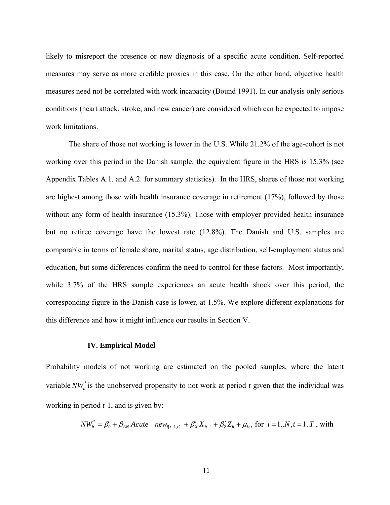likely to misreport the presence or new diagnosis of a specific acute condition. Self-reported measures may serve as more credible proxies in this case. On the other hand, objective health measures need not be correlated with work incapacity (Bound 1991). In our analysis only serious conditions (heart attack, stroke, and new cancer) are considered which can be expected to impose work limitations.

The share of those not working is lower in the U.S. While 21.2% of the age-cohort is not working over this period in the Danish sample, the equivalent figure in the HRS is 15.3% (see Appendix Tables A.1. and A.2. for summary statistics). In the HRS, shares of those not working are highest among those with health insurance coverage in retirement (17%), followed by those without any form of health insurance (15.3%). Those with employer provided health insurance but no retiree coverage have the lowest rate (12.8%). The Danish and U.S. samples are comparable in terms of female share, marital status, age distribution, self-employment status and education, but some differences confirm the need to control for these factors. Most importantly, while 3.7% of the HRS sample experiences an acute health shock over this period, the corresponding figure in the Danish case is lower, at 1.5%. We explore different explanations for this difference and how it might influence our results in Section V.

#### **IV. Empirical Model**

Probability models of not working are estimated on the pooled samples, where the latent variable  $NW_{it}^{*}$  is the unobserved propensity to not work at period *t* given that the individual was working in period *t*-1, and is given by:

$$
NW_{it}^* = \beta_0 + \beta_{AN} Acute\_new_{i[t-1,t]} + \beta'_X X_{it-1} + \beta'_Z Z_{it} + \mu_{it}
$$
, for  $i = 1..N, t = 1..T$ , with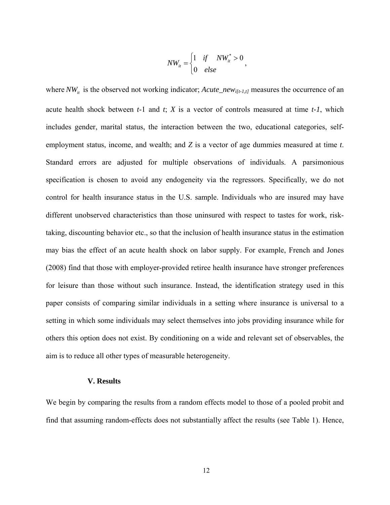$$
NW_{it} = \begin{cases} 1 & if \quad NW_{it}^* > 0 \\ 0 & else \end{cases}
$$

where  $NW_{it}$  is the observed not working indicator; *Acute\_new*<sub> $it$ [t-1,t]</sub> measures the occurrence of an acute health shock between *t*-1 and *t*; *X* is a vector of controls measured at time *t-1*, which includes gender, marital status, the interaction between the two, educational categories, selfemployment status, income, and wealth; and *Z* is a vector of age dummies measured at time *t*. Standard errors are adjusted for multiple observations of individuals. A parsimonious specification is chosen to avoid any endogeneity via the regressors. Specifically, we do not control for health insurance status in the U.S. sample. Individuals who are insured may have different unobserved characteristics than those uninsured with respect to tastes for work, risktaking, discounting behavior etc., so that the inclusion of health insurance status in the estimation may bias the effect of an acute health shock on labor supply. For example, French and Jones (2008) find that those with employer-provided retiree health insurance have stronger preferences for leisure than those without such insurance. Instead, the identification strategy used in this paper consists of comparing similar individuals in a setting where insurance is universal to a setting in which some individuals may select themselves into jobs providing insurance while for others this option does not exist. By conditioning on a wide and relevant set of observables, the aim is to reduce all other types of measurable heterogeneity.

#### **V. Results**

We begin by comparing the results from a random effects model to those of a pooled probit and find that assuming random-effects does not substantially affect the results (see Table 1). Hence,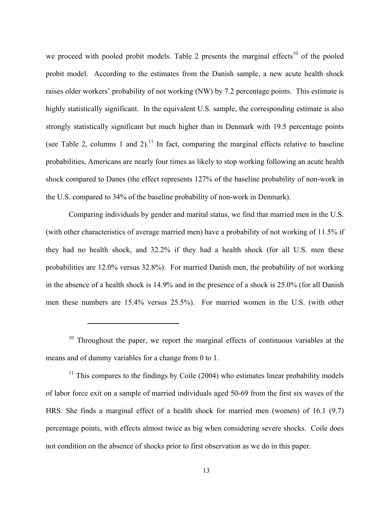we proceed with pooled probit models. Table 2 presents the marginal effects<sup>10</sup> of the pooled probit model. According to the estimates from the Danish sample, a new acute health shock raises older workers' probability of not working (NW) by 7.2 percentage points. This estimate is highly statistically significant. In the equivalent U.S. sample, the corresponding estimate is also strongly statistically significant but much higher than in Denmark with 19.5 percentage points (see Table 2, columns 1 and 2).<sup>11</sup> In fact, comparing the marginal effects relative to baseline probabilities, Americans are nearly four times as likely to stop working following an acute health shock compared to Danes (the effect represents 127% of the baseline probability of non-work in the U.S. compared to 34% of the baseline probability of non-work in Denmark).

Comparing individuals by gender and marital status, we find that married men in the U.S. (with other characteristics of average married men) have a probability of not working of 11.5% if they had no health shock, and 32.2% if they had a health shock (for all U.S. men these probabilities are 12.0% versus 32.8%). For married Danish men, the probability of not working in the absence of a health shock is 14.9% and in the presence of a shock is 25.0% (for all Danish men these numbers are 15.4% versus 25.5%). For married women in the U.S. (with other

 $\overline{a}$ 

 $11$  This compares to the findings by Coile (2004) who estimates linear probability models of labor force exit on a sample of married individuals aged 50-69 from the first six waves of the HRS. She finds a marginal effect of a health shock for married men (women) of 16.1 (9.7) percentage points, with effects almost twice as big when considering severe shocks. Coile does not condition on the absence of shocks prior to first observation as we do in this paper.

Throughout the paper, we report the marginal effects of continuous variables at the means and of dummy variables for a change from 0 to 1.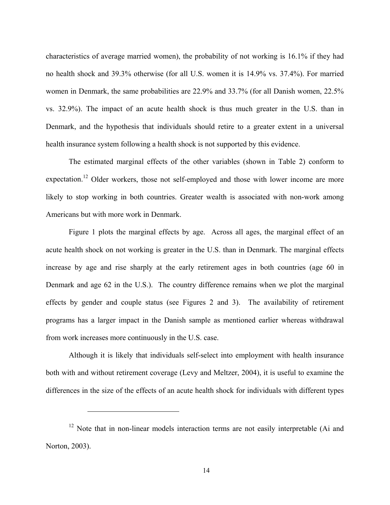characteristics of average married women), the probability of not working is 16.1% if they had no health shock and 39.3% otherwise (for all U.S. women it is 14.9% vs. 37.4%). For married women in Denmark, the same probabilities are 22.9% and 33.7% (for all Danish women, 22.5% vs. 32.9%). The impact of an acute health shock is thus much greater in the U.S. than in Denmark, and the hypothesis that individuals should retire to a greater extent in a universal health insurance system following a health shock is not supported by this evidence.

The estimated marginal effects of the other variables (shown in Table 2) conform to expectation.<sup>12</sup> Older workers, those not self-employed and those with lower income are more likely to stop working in both countries. Greater wealth is associated with non-work among Americans but with more work in Denmark.

Figure 1 plots the marginal effects by age. Across all ages, the marginal effect of an acute health shock on not working is greater in the U.S. than in Denmark. The marginal effects increase by age and rise sharply at the early retirement ages in both countries (age 60 in Denmark and age 62 in the U.S.). The country difference remains when we plot the marginal effects by gender and couple status (see Figures 2 and 3). The availability of retirement programs has a larger impact in the Danish sample as mentioned earlier whereas withdrawal from work increases more continuously in the U.S. case.

Although it is likely that individuals self-select into employment with health insurance both with and without retirement coverage (Levy and Meltzer, 2004), it is useful to examine the differences in the size of the effects of an acute health shock for individuals with different types

<sup>&</sup>lt;sup>12</sup> Note that in non-linear models interaction terms are not easily interpretable (Ai and Norton, 2003).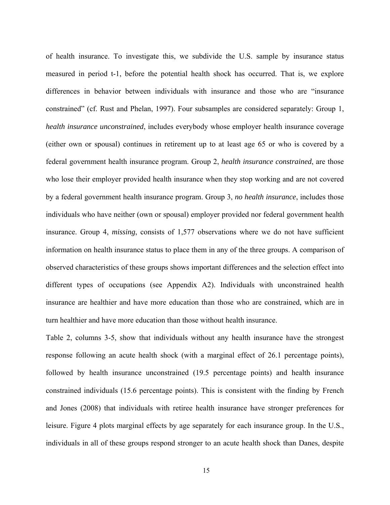of health insurance. To investigate this, we subdivide the U.S. sample by insurance status measured in period t-1, before the potential health shock has occurred. That is, we explore differences in behavior between individuals with insurance and those who are "insurance constrained" (cf. Rust and Phelan, 1997). Four subsamples are considered separately: Group 1, *health insurance unconstrained*, includes everybody whose employer health insurance coverage (either own or spousal) continues in retirement up to at least age 65 or who is covered by a federal government health insurance program. Group 2, *health insurance constrained*, are those who lose their employer provided health insurance when they stop working and are not covered by a federal government health insurance program. Group 3, *no health insurance*, includes those individuals who have neither (own or spousal) employer provided nor federal government health insurance. Group 4, *missing*, consists of 1,577 observations where we do not have sufficient information on health insurance status to place them in any of the three groups. A comparison of observed characteristics of these groups shows important differences and the selection effect into different types of occupations (see Appendix A2). Individuals with unconstrained health insurance are healthier and have more education than those who are constrained, which are in turn healthier and have more education than those without health insurance.

Table 2, columns 3-5, show that individuals without any health insurance have the strongest response following an acute health shock (with a marginal effect of 26.1 percentage points), followed by health insurance unconstrained (19.5 percentage points) and health insurance constrained individuals (15.6 percentage points). This is consistent with the finding by French and Jones (2008) that individuals with retiree health insurance have stronger preferences for leisure. Figure 4 plots marginal effects by age separately for each insurance group. In the U.S., individuals in all of these groups respond stronger to an acute health shock than Danes, despite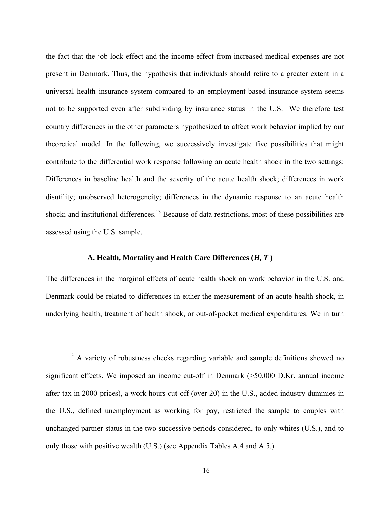the fact that the job-lock effect and the income effect from increased medical expenses are not present in Denmark. Thus, the hypothesis that individuals should retire to a greater extent in a universal health insurance system compared to an employment-based insurance system seems not to be supported even after subdividing by insurance status in the U.S. We therefore test country differences in the other parameters hypothesized to affect work behavior implied by our theoretical model. In the following, we successively investigate five possibilities that might contribute to the differential work response following an acute health shock in the two settings: Differences in baseline health and the severity of the acute health shock; differences in work disutility; unobserved heterogeneity; differences in the dynamic response to an acute health shock; and institutional differences.<sup>13</sup> Because of data restrictions, most of these possibilities are assessed using the U.S. sample.

#### **A. Health, Mortality and Health Care Differences (***H, T* **)**

 $\overline{a}$ 

The differences in the marginal effects of acute health shock on work behavior in the U.S. and Denmark could be related to differences in either the measurement of an acute health shock, in underlying health, treatment of health shock, or out-of-pocket medical expenditures. We in turn

<sup>&</sup>lt;sup>13</sup> A variety of robustness checks regarding variable and sample definitions showed no significant effects. We imposed an income cut-off in Denmark (>50,000 D.Kr. annual income after tax in 2000-prices), a work hours cut-off (over 20) in the U.S., added industry dummies in the U.S., defined unemployment as working for pay, restricted the sample to couples with unchanged partner status in the two successive periods considered, to only whites (U.S.), and to only those with positive wealth (U.S.) (see Appendix Tables A.4 and A.5.)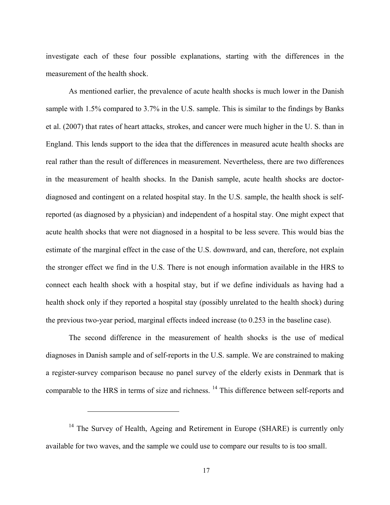investigate each of these four possible explanations, starting with the differences in the measurement of the health shock.

As mentioned earlier, the prevalence of acute health shocks is much lower in the Danish sample with 1.5% compared to 3.7% in the U.S. sample. This is similar to the findings by Banks et al. (2007) that rates of heart attacks, strokes, and cancer were much higher in the U. S. than in England. This lends support to the idea that the differences in measured acute health shocks are real rather than the result of differences in measurement. Nevertheless, there are two differences in the measurement of health shocks. In the Danish sample, acute health shocks are doctordiagnosed and contingent on a related hospital stay. In the U.S. sample, the health shock is selfreported (as diagnosed by a physician) and independent of a hospital stay. One might expect that acute health shocks that were not diagnosed in a hospital to be less severe. This would bias the estimate of the marginal effect in the case of the U.S. downward, and can, therefore, not explain the stronger effect we find in the U.S. There is not enough information available in the HRS to connect each health shock with a hospital stay, but if we define individuals as having had a health shock only if they reported a hospital stay (possibly unrelated to the health shock) during the previous two-year period, marginal effects indeed increase (to 0.253 in the baseline case).

The second difference in the measurement of health shocks is the use of medical diagnoses in Danish sample and of self-reports in the U.S. sample. We are constrained to making a register-survey comparison because no panel survey of the elderly exists in Denmark that is comparable to the HRS in terms of size and richness. 14 This difference between self-reports and

<sup>&</sup>lt;sup>14</sup> The Survey of Health, Ageing and Retirement in Europe (SHARE) is currently only available for two waves, and the sample we could use to compare our results to is too small.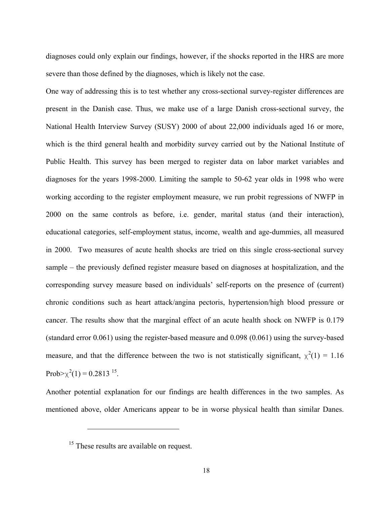diagnoses could only explain our findings, however, if the shocks reported in the HRS are more severe than those defined by the diagnoses, which is likely not the case.

One way of addressing this is to test whether any cross-sectional survey-register differences are present in the Danish case. Thus, we make use of a large Danish cross-sectional survey, the National Health Interview Survey (SUSY) 2000 of about 22,000 individuals aged 16 or more, which is the third general health and morbidity survey carried out by the National Institute of Public Health. This survey has been merged to register data on labor market variables and diagnoses for the years 1998-2000. Limiting the sample to 50-62 year olds in 1998 who were working according to the register employment measure, we run probit regressions of NWFP in 2000 on the same controls as before, i.e. gender, marital status (and their interaction), educational categories, self-employment status, income, wealth and age-dummies, all measured in 2000. Two measures of acute health shocks are tried on this single cross-sectional survey sample – the previously defined register measure based on diagnoses at hospitalization, and the corresponding survey measure based on individuals' self-reports on the presence of (current) chronic conditions such as heart attack/angina pectoris, hypertension/high blood pressure or cancer. The results show that the marginal effect of an acute health shock on NWFP is 0.179 (standard error 0.061) using the register-based measure and 0.098 (0.061) using the survey-based measure, and that the difference between the two is not statistically significant,  $\chi^2(1) = 1.16$ Prob $>\chi^2(1) = 0.2813^{15}$ .

Another potential explanation for our findings are health differences in the two samples. As mentioned above, older Americans appear to be in worse physical health than similar Danes.

<sup>&</sup>lt;sup>15</sup> These results are available on request.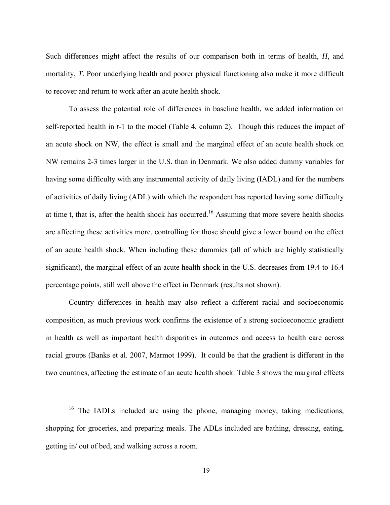Such differences might affect the results of our comparison both in terms of health, *H*, and mortality, *T*. Poor underlying health and poorer physical functioning also make it more difficult to recover and return to work after an acute health shock.

To assess the potential role of differences in baseline health, we added information on self-reported health in *t*-1 to the model (Table 4, column 2). Though this reduces the impact of an acute shock on NW, the effect is small and the marginal effect of an acute health shock on NW remains 2-3 times larger in the U.S. than in Denmark. We also added dummy variables for having some difficulty with any instrumental activity of daily living (IADL) and for the numbers of activities of daily living (ADL) with which the respondent has reported having some difficulty at time t, that is, after the health shock has occurred.<sup>16</sup> Assuming that more severe health shocks are affecting these activities more, controlling for those should give a lower bound on the effect of an acute health shock. When including these dummies (all of which are highly statistically significant), the marginal effect of an acute health shock in the U.S. decreases from 19.4 to 16.4 percentage points, still well above the effect in Denmark (results not shown).

Country differences in health may also reflect a different racial and socioeconomic composition, as much previous work confirms the existence of a strong socioeconomic gradient in health as well as important health disparities in outcomes and access to health care across racial groups (Banks et al. 2007, Marmot 1999). It could be that the gradient is different in the two countries, affecting the estimate of an acute health shock. Table 3 shows the marginal effects

<sup>&</sup>lt;sup>16</sup> The IADLs included are using the phone, managing money, taking medications, shopping for groceries, and preparing meals. The ADLs included are bathing, dressing, eating, getting in/ out of bed, and walking across a room.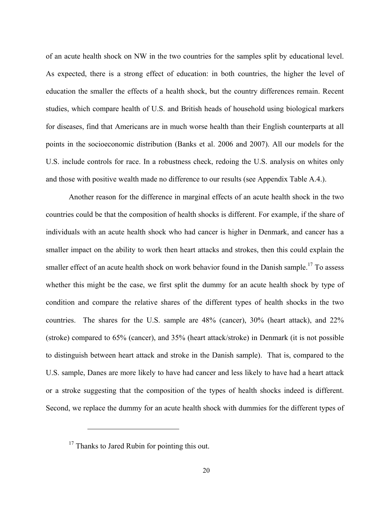of an acute health shock on NW in the two countries for the samples split by educational level. As expected, there is a strong effect of education: in both countries, the higher the level of education the smaller the effects of a health shock, but the country differences remain. Recent studies, which compare health of U.S. and British heads of household using biological markers for diseases, find that Americans are in much worse health than their English counterparts at all points in the socioeconomic distribution (Banks et al. 2006 and 2007). All our models for the U.S. include controls for race. In a robustness check, redoing the U.S. analysis on whites only and those with positive wealth made no difference to our results (see Appendix Table A.4.).

Another reason for the difference in marginal effects of an acute health shock in the two countries could be that the composition of health shocks is different. For example, if the share of individuals with an acute health shock who had cancer is higher in Denmark, and cancer has a smaller impact on the ability to work then heart attacks and strokes, then this could explain the smaller effect of an acute health shock on work behavior found in the Danish sample.<sup>17</sup> To assess whether this might be the case, we first split the dummy for an acute health shock by type of condition and compare the relative shares of the different types of health shocks in the two countries. The shares for the U.S. sample are 48% (cancer), 30% (heart attack), and 22% (stroke) compared to 65% (cancer), and 35% (heart attack/stroke) in Denmark (it is not possible to distinguish between heart attack and stroke in the Danish sample). That is, compared to the U.S. sample, Danes are more likely to have had cancer and less likely to have had a heart attack or a stroke suggesting that the composition of the types of health shocks indeed is different. Second, we replace the dummy for an acute health shock with dummies for the different types of

 $17$  Thanks to Jared Rubin for pointing this out.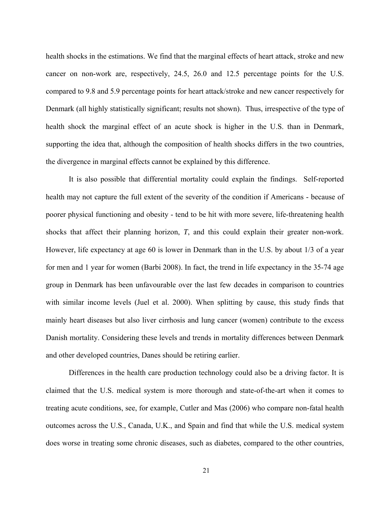health shocks in the estimations. We find that the marginal effects of heart attack, stroke and new cancer on non-work are, respectively, 24.5, 26.0 and 12.5 percentage points for the U.S. compared to 9.8 and 5.9 percentage points for heart attack/stroke and new cancer respectively for Denmark (all highly statistically significant; results not shown). Thus, irrespective of the type of health shock the marginal effect of an acute shock is higher in the U.S. than in Denmark, supporting the idea that, although the composition of health shocks differs in the two countries, the divergence in marginal effects cannot be explained by this difference.

It is also possible that differential mortality could explain the findings. Self-reported health may not capture the full extent of the severity of the condition if Americans - because of poorer physical functioning and obesity - tend to be hit with more severe, life-threatening health shocks that affect their planning horizon, *T*, and this could explain their greater non-work. However, life expectancy at age 60 is lower in Denmark than in the U.S. by about 1/3 of a year for men and 1 year for women (Barbi 2008). In fact, the trend in life expectancy in the 35-74 age group in Denmark has been unfavourable over the last few decades in comparison to countries with similar income levels (Juel et al. 2000). When splitting by cause, this study finds that mainly heart diseases but also liver cirrhosis and lung cancer (women) contribute to the excess Danish mortality. Considering these levels and trends in mortality differences between Denmark and other developed countries, Danes should be retiring earlier.

Differences in the health care production technology could also be a driving factor. It is claimed that the U.S. medical system is more thorough and state-of-the-art when it comes to treating acute conditions, see, for example, Cutler and Mas (2006) who compare non-fatal health outcomes across the U.S., Canada, U.K., and Spain and find that while the U.S. medical system does worse in treating some chronic diseases, such as diabetes, compared to the other countries,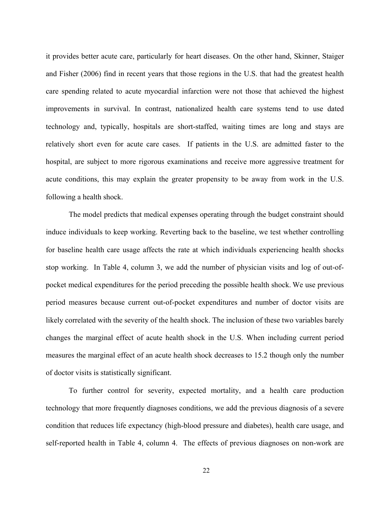it provides better acute care, particularly for heart diseases. On the other hand, Skinner, Staiger and Fisher (2006) find in recent years that those regions in the U.S. that had the greatest health care spending related to acute myocardial infarction were not those that achieved the highest improvements in survival. In contrast, nationalized health care systems tend to use dated technology and, typically, hospitals are short-staffed, waiting times are long and stays are relatively short even for acute care cases. If patients in the U.S. are admitted faster to the hospital, are subject to more rigorous examinations and receive more aggressive treatment for acute conditions, this may explain the greater propensity to be away from work in the U.S. following a health shock.

The model predicts that medical expenses operating through the budget constraint should induce individuals to keep working. Reverting back to the baseline, we test whether controlling for baseline health care usage affects the rate at which individuals experiencing health shocks stop working. In Table 4, column 3, we add the number of physician visits and log of out-ofpocket medical expenditures for the period preceding the possible health shock. We use previous period measures because current out-of-pocket expenditures and number of doctor visits are likely correlated with the severity of the health shock. The inclusion of these two variables barely changes the marginal effect of acute health shock in the U.S. When including current period measures the marginal effect of an acute health shock decreases to 15.2 though only the number of doctor visits is statistically significant.

To further control for severity, expected mortality, and a health care production technology that more frequently diagnoses conditions, we add the previous diagnosis of a severe condition that reduces life expectancy (high-blood pressure and diabetes), health care usage, and self-reported health in Table 4, column 4. The effects of previous diagnoses on non-work are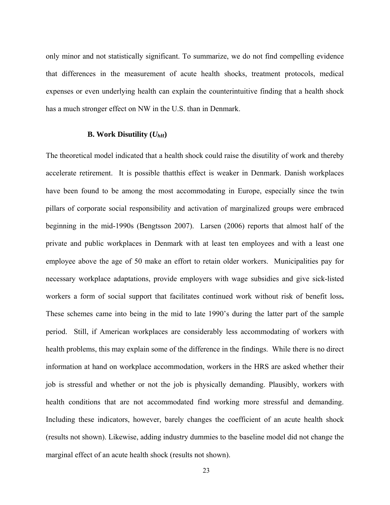only minor and not statistically significant. To summarize, we do not find compelling evidence that differences in the measurement of acute health shocks, treatment protocols, medical expenses or even underlying health can explain the counterintuitive finding that a health shock has a much stronger effect on NW in the U.S. than in Denmark.

#### **B. Work Disutility**  $(U_{hH})$

The theoretical model indicated that a health shock could raise the disutility of work and thereby accelerate retirement. It is possible thatthis effect is weaker in Denmark. Danish workplaces have been found to be among the most accommodating in Europe, especially since the twin pillars of corporate social responsibility and activation of marginalized groups were embraced beginning in the mid-1990s (Bengtsson 2007). Larsen (2006) reports that almost half of the private and public workplaces in Denmark with at least ten employees and with a least one employee above the age of 50 make an effort to retain older workers. Municipalities pay for necessary workplace adaptations, provide employers with wage subsidies and give sick-listed workers a form of social support that facilitates continued work without risk of benefit loss**.**  These schemes came into being in the mid to late 1990's during the latter part of the sample period. Still, if American workplaces are considerably less accommodating of workers with health problems, this may explain some of the difference in the findings. While there is no direct information at hand on workplace accommodation, workers in the HRS are asked whether their job is stressful and whether or not the job is physically demanding. Plausibly, workers with health conditions that are not accommodated find working more stressful and demanding. Including these indicators, however, barely changes the coefficient of an acute health shock (results not shown). Likewise, adding industry dummies to the baseline model did not change the marginal effect of an acute health shock (results not shown).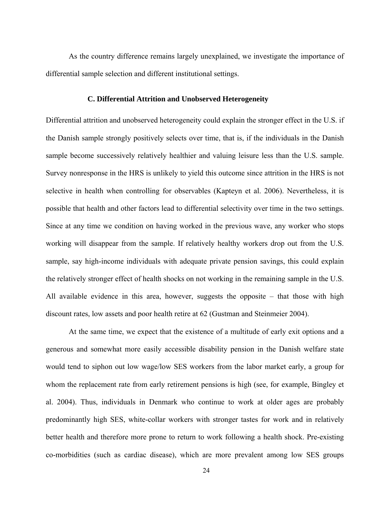As the country difference remains largely unexplained, we investigate the importance of differential sample selection and different institutional settings.

#### **C. Differential Attrition and Unobserved Heterogeneity**

Differential attrition and unobserved heterogeneity could explain the stronger effect in the U.S. if the Danish sample strongly positively selects over time, that is, if the individuals in the Danish sample become successively relatively healthier and valuing leisure less than the U.S. sample. Survey nonresponse in the HRS is unlikely to yield this outcome since attrition in the HRS is not selective in health when controlling for observables (Kapteyn et al. 2006). Nevertheless, it is possible that health and other factors lead to differential selectivity over time in the two settings. Since at any time we condition on having worked in the previous wave, any worker who stops working will disappear from the sample. If relatively healthy workers drop out from the U.S. sample, say high-income individuals with adequate private pension savings, this could explain the relatively stronger effect of health shocks on not working in the remaining sample in the U.S. All available evidence in this area, however, suggests the opposite – that those with high discount rates, low assets and poor health retire at 62 (Gustman and Steinmeier 2004).

At the same time, we expect that the existence of a multitude of early exit options and a generous and somewhat more easily accessible disability pension in the Danish welfare state would tend to siphon out low wage/low SES workers from the labor market early, a group for whom the replacement rate from early retirement pensions is high (see, for example, Bingley et al. 2004). Thus, individuals in Denmark who continue to work at older ages are probably predominantly high SES, white-collar workers with stronger tastes for work and in relatively better health and therefore more prone to return to work following a health shock. Pre-existing co-morbidities (such as cardiac disease), which are more prevalent among low SES groups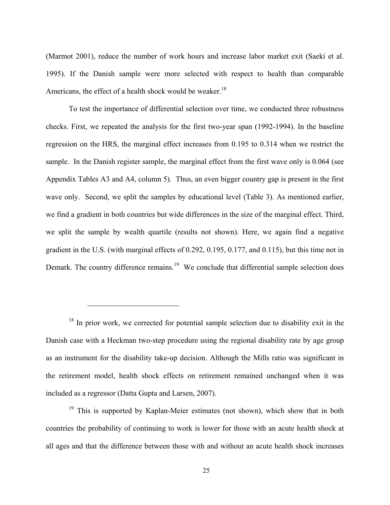(Marmot 2001), reduce the number of work hours and increase labor market exit (Saeki et al. 1995). If the Danish sample were more selected with respect to health than comparable Americans, the effect of a health shock would be weaker.<sup>18</sup>

To test the importance of differential selection over time, we conducted three robustness checks. First, we repeated the analysis for the first two-year span (1992-1994). In the baseline regression on the HRS, the marginal effect increases from 0.195 to 0.314 when we restrict the sample. In the Danish register sample, the marginal effect from the first wave only is 0.064 (see Appendix Tables A3 and A4, column 5). Thus, an even bigger country gap is present in the first wave only. Second, we split the samples by educational level (Table 3). As mentioned earlier, we find a gradient in both countries but wide differences in the size of the marginal effect. Third, we split the sample by wealth quartile (results not shown). Here, we again find a negative gradient in the U.S. (with marginal effects of 0.292, 0.195, 0.177, and 0.115), but this time not in Demark. The country difference remains.<sup>19</sup> We conclude that differential sample selection does

 $18$  In prior work, we corrected for potential sample selection due to disability exit in the Danish case with a Heckman two-step procedure using the regional disability rate by age group as an instrument for the disability take-up decision. Although the Mills ratio was significant in the retirement model, health shock effects on retirement remained unchanged when it was included as a regressor (Datta Gupta and Larsen, 2007).

 $\overline{a}$ 

<sup>19</sup> This is supported by Kaplan-Meier estimates (not shown), which show that in both countries the probability of continuing to work is lower for those with an acute health shock at all ages and that the difference between those with and without an acute health shock increases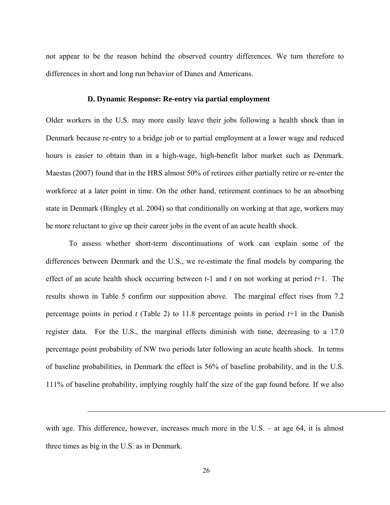not appear to be the reason behind the observed country differences. We turn therefore to differences in short and long run behavior of Danes and Americans.

#### **D. Dynamic Response: Re-entry via partial employment**

Older workers in the U.S. may more easily leave their jobs following a health shock than in Denmark because re-entry to a bridge job or to partial employment at a lower wage and reduced hours is easier to obtain than in a high-wage, high-benefit labor market such as Denmark. Maestas (2007) found that in the HRS almost 50% of retirees either partially retire or re-enter the workforce at a later point in time. On the other hand, retirement continues to be an absorbing state in Denmark (Bingley et al. 2004) so that conditionally on working at that age, workers may be more reluctant to give up their career jobs in the event of an acute health shock.

To assess whether short-term discontinuations of work can explain some of the differences between Denmark and the U.S., we re-estimate the final models by comparing the effect of an acute health shock occurring between *t-*1 and *t* on not working at period *t*+1. The results shown in Table 5 confirm our supposition above. The marginal effect rises from 7.2 percentage points in period *t* (Table 2) to 11.8 percentage points in period *t*+1 in the Danish register data. For the U.S., the marginal effects diminish with time, decreasing to a 17.0 percentage point probability of NW two periods later following an acute health shock. In terms of baseline probabilities, in Denmark the effect is 56% of baseline probability, and in the U.S. 111% of baseline probability, implying roughly half the size of the gap found before. If we also

1

with age. This difference, however, increases much more in the U.S. – at age 64, it is almost three times as big in the U.S. as in Denmark.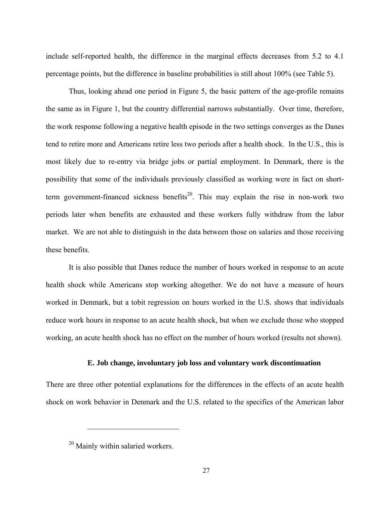include self-reported health, the difference in the marginal effects decreases from 5.2 to 4.1 percentage points, but the difference in baseline probabilities is still about 100% (see Table 5).

Thus, looking ahead one period in Figure 5, the basic pattern of the age-profile remains the same as in Figure 1, but the country differential narrows substantially. Over time, therefore, the work response following a negative health episode in the two settings converges as the Danes tend to retire more and Americans retire less two periods after a health shock. In the U.S., this is most likely due to re-entry via bridge jobs or partial employment. In Denmark, there is the possibility that some of the individuals previously classified as working were in fact on shortterm government-financed sickness benefits<sup>20</sup>. This may explain the rise in non-work two periods later when benefits are exhausted and these workers fully withdraw from the labor market. We are not able to distinguish in the data between those on salaries and those receiving these benefits.

It is also possible that Danes reduce the number of hours worked in response to an acute health shock while Americans stop working altogether. We do not have a measure of hours worked in Denmark, but a tobit regression on hours worked in the U.S. shows that individuals reduce work hours in response to an acute health shock, but when we exclude those who stopped working, an acute health shock has no effect on the number of hours worked (results not shown).

#### **E. Job change, involuntary job loss and voluntary work discontinuation**

There are three other potential explanations for the differences in the effects of an acute health shock on work behavior in Denmark and the U.S. related to the specifics of the American labor

<sup>&</sup>lt;sup>20</sup> Mainly within salaried workers.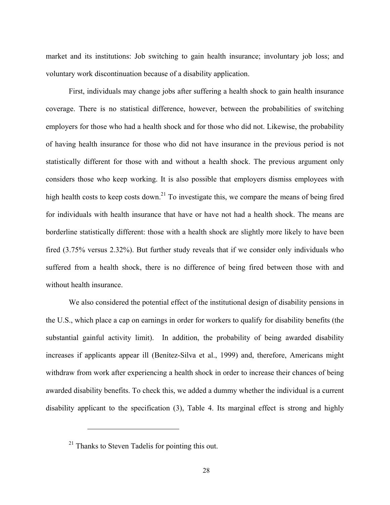market and its institutions: Job switching to gain health insurance; involuntary job loss; and voluntary work discontinuation because of a disability application.

First, individuals may change jobs after suffering a health shock to gain health insurance coverage. There is no statistical difference, however, between the probabilities of switching employers for those who had a health shock and for those who did not. Likewise, the probability of having health insurance for those who did not have insurance in the previous period is not statistically different for those with and without a health shock. The previous argument only considers those who keep working. It is also possible that employers dismiss employees with high health costs to keep costs down.<sup>21</sup> To investigate this, we compare the means of being fired for individuals with health insurance that have or have not had a health shock. The means are borderline statistically different: those with a health shock are slightly more likely to have been fired (3.75% versus 2.32%). But further study reveals that if we consider only individuals who suffered from a health shock, there is no difference of being fired between those with and without health insurance.

We also considered the potential effect of the institutional design of disability pensions in the U.S., which place a cap on earnings in order for workers to qualify for disability benefits (the substantial gainful activity limit). In addition, the probability of being awarded disability increases if applicants appear ill (Benítez-Silva et al., 1999) and, therefore, Americans might withdraw from work after experiencing a health shock in order to increase their chances of being awarded disability benefits. To check this, we added a dummy whether the individual is a current disability applicant to the specification (3), Table 4. Its marginal effect is strong and highly

 $^{21}$  Thanks to Steven Tadelis for pointing this out.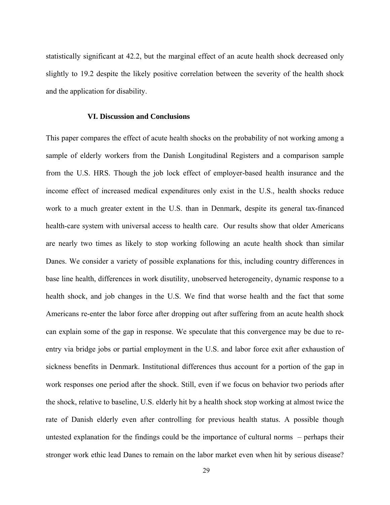statistically significant at 42.2, but the marginal effect of an acute health shock decreased only slightly to 19.2 despite the likely positive correlation between the severity of the health shock and the application for disability.

#### **VI. Discussion and Conclusions**

This paper compares the effect of acute health shocks on the probability of not working among a sample of elderly workers from the Danish Longitudinal Registers and a comparison sample from the U.S. HRS. Though the job lock effect of employer-based health insurance and the income effect of increased medical expenditures only exist in the U.S., health shocks reduce work to a much greater extent in the U.S. than in Denmark, despite its general tax-financed health-care system with universal access to health care. Our results show that older Americans are nearly two times as likely to stop working following an acute health shock than similar Danes. We consider a variety of possible explanations for this, including country differences in base line health, differences in work disutility, unobserved heterogeneity, dynamic response to a health shock, and job changes in the U.S. We find that worse health and the fact that some Americans re-enter the labor force after dropping out after suffering from an acute health shock can explain some of the gap in response. We speculate that this convergence may be due to reentry via bridge jobs or partial employment in the U.S. and labor force exit after exhaustion of sickness benefits in Denmark. Institutional differences thus account for a portion of the gap in work responses one period after the shock. Still, even if we focus on behavior two periods after the shock, relative to baseline, U.S. elderly hit by a health shock stop working at almost twice the rate of Danish elderly even after controlling for previous health status. A possible though untested explanation for the findings could be the importance of cultural norms – perhaps their stronger work ethic lead Danes to remain on the labor market even when hit by serious disease?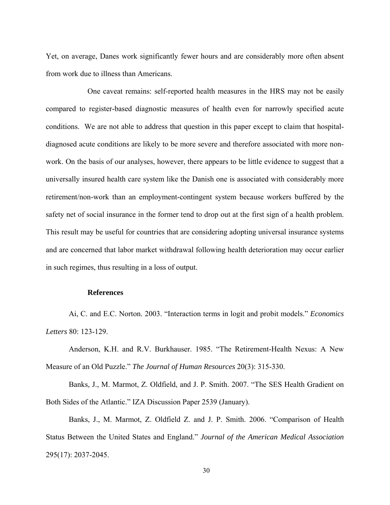Yet, on average, Danes work significantly fewer hours and are considerably more often absent from work due to illness than Americans.

One caveat remains: self-reported health measures in the HRS may not be easily compared to register-based diagnostic measures of health even for narrowly specified acute conditions. We are not able to address that question in this paper except to claim that hospitaldiagnosed acute conditions are likely to be more severe and therefore associated with more nonwork. On the basis of our analyses, however, there appears to be little evidence to suggest that a universally insured health care system like the Danish one is associated with considerably more retirement/non-work than an employment-contingent system because workers buffered by the safety net of social insurance in the former tend to drop out at the first sign of a health problem. This result may be useful for countries that are considering adopting universal insurance systems and are concerned that labor market withdrawal following health deterioration may occur earlier in such regimes, thus resulting in a loss of output.

#### **References**

Ai, C. and E.C. Norton. 2003. "Interaction terms in logit and probit models." *Economics Letters* 80: 123-129.

Anderson, K.H. and R.V. Burkhauser. 1985. "The Retirement-Health Nexus: A New Measure of an Old Puzzle." *The Journal of Human Resources* 20(3): 315-330.

Banks, J., M. Marmot, Z. Oldfield, and J. P. Smith. 2007. "The SES Health Gradient on Both Sides of the Atlantic." IZA Discussion Paper 2539 (January).

Banks, J., M. Marmot, Z. Oldfield Z. and J. P. Smith. 2006. "Comparison of Health Status Between the United States and England." *Journal of the American Medical Association* 295(17): 2037-2045.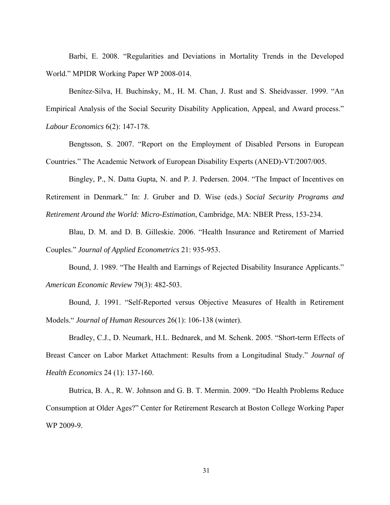Barbi, E. 2008. "Regularities and Deviations in Mortality Trends in the Developed World." MPIDR Working Paper WP 2008-014.

Benítez-Silva, H. Buchinsky, M., H. M. Chan, J. Rust and S. Sheidvasser. 1999. "An Empirical Analysis of the Social Security Disability Application, Appeal, and Award process." *Labour Economics* 6(2): 147-178.

Bengtsson, S. 2007. "Report on the Employment of Disabled Persons in European Countries." The Academic Network of European Disability Experts (ANED)-VT/2007/005.

Bingley, P., N. Datta Gupta, N. and P. J. Pedersen. 2004. "The Impact of Incentives on Retirement in Denmark." In: J. Gruber and D. Wise (eds.) *Social Security Programs and Retirement Around the World: Micro-Estimation*, Cambridge, MA: NBER Press, 153-234.

Blau, D. M. and D. B. Gilleskie. 2006. "Health Insurance and Retirement of Married Couples." *Journal of Applied Econometrics* 21: 935-953.

Bound, J. 1989. "The Health and Earnings of Rejected Disability Insurance Applicants." *American Economic Review* 79(3): 482-503.

Bound, J. 1991. "Self-Reported versus Objective Measures of Health in Retirement Models." *Journal of Human Resources* 26(1): 106-138 (winter).

Bradley, C.J., D. Neumark, H.L. Bednarek, and M. Schenk. 2005. "Short-term Effects of Breast Cancer on Labor Market Attachment: Results from a Longitudinal Study." *Journal of Health Economics* 24 (1): 137-160.

Butrica, B. A., R. W. Johnson and G. B. T. Mermin. 2009. "Do Health Problems Reduce Consumption at Older Ages?" Center for Retirement Research at Boston College Working Paper WP 2009-9.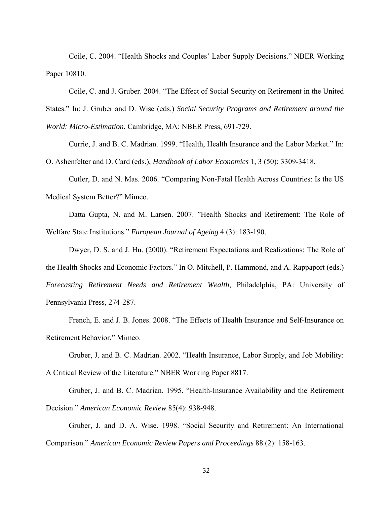Coile, C. 2004. "Health Shocks and Couples' Labor Supply Decisions." NBER Working Paper 10810.

Coile, C. and J. Gruber. 2004. "The Effect of Social Security on Retirement in the United States." In: J. Gruber and D. Wise (eds.) *Social Security Programs and Retirement around the World: Micro-Estimation*, Cambridge, MA: NBER Press, 691-729.

Currie, J. and B. C. Madrian. 1999. "Health, Health Insurance and the Labor Market." In: O. Ashenfelter and D. Card (eds.), *Handbook of Labor Economics* 1, 3 (50): 3309-3418.

Cutler, D. and N. Mas. 2006. "Comparing Non-Fatal Health Across Countries: Is the US Medical System Better?" Mimeo.

Datta Gupta, N. and M. Larsen. 2007. "Health Shocks and Retirement: The Role of Welfare State Institutions." *European Journal of Ageing* 4 (3): 183-190.

Dwyer, D. S. and J. Hu. (2000). "Retirement Expectations and Realizations: The Role of the Health Shocks and Economic Factors." In O. Mitchell, P. Hammond, and A. Rappaport (eds.) *Forecasting Retirement Needs and Retirement Wealth*, Philadelphia, PA: University of Pennsylvania Press, 274-287.

French, E. and J. B. Jones. 2008. "The Effects of Health Insurance and Self-Insurance on Retirement Behavior." Mimeo.

Gruber, J. and B. C. Madrian. 2002. "Health Insurance, Labor Supply, and Job Mobility: A Critical Review of the Literature." NBER Working Paper 8817.

Gruber, J. and B. C. Madrian. 1995. "Health-Insurance Availability and the Retirement Decision." *American Economic Review* 85(4): 938-948.

Gruber, J. and D. A. Wise. 1998. "Social Security and Retirement: An International Comparison." *American Economic Review Papers and Proceedings* 88 (2): 158-163.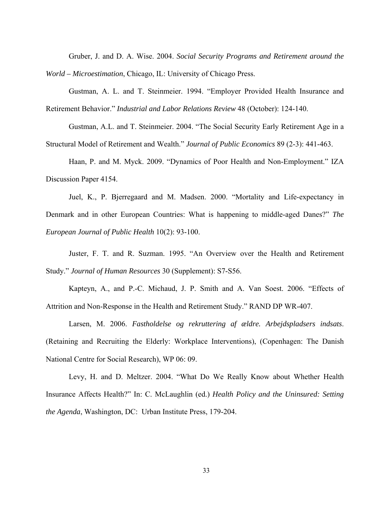Gruber, J. and D. A. Wise. 2004. *Social Security Programs and Retirement around the World – Microestimation*, Chicago, IL: University of Chicago Press.

Gustman, A. L. and T. Steinmeier. 1994. "Employer Provided Health Insurance and Retirement Behavior." *Industrial and Labor Relations Review* 48 (October): 124-140.

Gustman, A.L. and T. Steinmeier. 2004. "The Social Security Early Retirement Age in a Structural Model of Retirement and Wealth." *Journal of Public Economics* 89 (2-3): 441-463.

Haan, P. and M. Myck. 2009. "Dynamics of Poor Health and Non-Employment." IZA Discussion Paper 4154.

Juel, K., P. Bjerregaard and M. Madsen. 2000. "Mortality and Life-expectancy in Denmark and in other European Countries: What is happening to middle-aged Danes?" *The European Journal of Public Health* 10(2): 93-100.

Juster, F. T. and R. Suzman. 1995. "An Overview over the Health and Retirement Study." *Journal of Human Resources* 30 (Supplement): S7-S56.

Kapteyn, A., and P.-C. Michaud, J. P. Smith and A. Van Soest. 2006. "Effects of Attrition and Non-Response in the Health and Retirement Study." RAND DP WR-407.

Larsen, M. 2006. *Fastholdelse og rekruttering af ældre. Arbejdspladsers indsats*. (Retaining and Recruiting the Elderly: Workplace Interventions), (Copenhagen: The Danish National Centre for Social Research), WP 06: 09.

Levy, H. and D. Meltzer. 2004. "What Do We Really Know about Whether Health Insurance Affects Health?" In: C. McLaughlin (ed.) *Health Policy and the Uninsured: Setting the Agenda*, Washington, DC: Urban Institute Press, 179-204.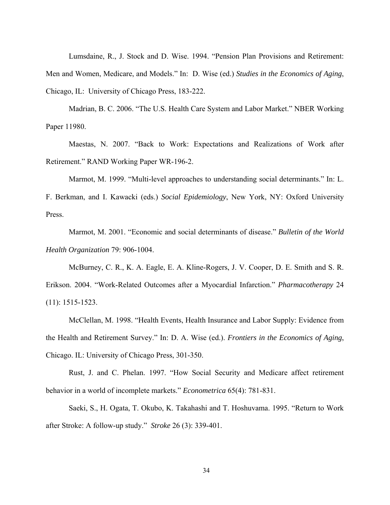Lumsdaine, R., J. Stock and D. Wise. 1994. "Pension Plan Provisions and Retirement: Men and Women, Medicare, and Models." In: D. Wise (ed.) *Studies in the Economics of Aging*, Chicago, IL: University of Chicago Press, 183-222.

Madrian, B. C. 2006. "The U.S. Health Care System and Labor Market." NBER Working Paper 11980.

Maestas, N. 2007. "Back to Work: Expectations and Realizations of Work after Retirement." RAND Working Paper WR-196-2.

Marmot, M. 1999. "Multi-level approaches to understanding social determinants." In: L.

F. Berkman, and I. Kawacki (eds.) *Social Epidemiology*, New York, NY: Oxford University Press.

Marmot, M. 2001. "Economic and social determinants of disease." *Bulletin of the World Health Organization* 79: 906-1004.

McBurney, C. R., K. A. Eagle, E. A. Kline-Rogers, J. V. Cooper, D. E. Smith and S. R. Erikson. 2004. "Work-Related Outcomes after a Myocardial Infarction." *Pharmacotherapy* 24 (11): 1515-1523.

McClellan, M. 1998. "Health Events, Health Insurance and Labor Supply: Evidence from the Health and Retirement Survey." In: D. A. Wise (ed.). *Frontiers in the Economics of Aging*, Chicago. IL: University of Chicago Press, 301-350.

Rust, J. and C. Phelan. 1997. "How Social Security and Medicare affect retirement behavior in a world of incomplete markets." *Econometrica* 65(4): 781-831.

Saeki, S., H. Ogata, T. Okubo, K. Takahashi and T. Hoshuvama. 1995. "Return to Work after Stroke: A follow-up study." *Stroke* 26 (3): 339-401.

34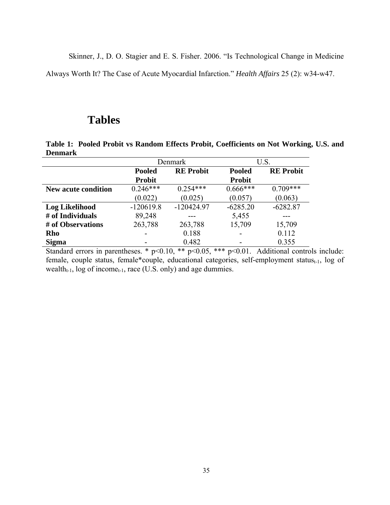Skinner, J., D. O. Stagier and E. S. Fisher. 2006. "Is Technological Change in Medicine

Always Worth It? The Case of Acute Myocardial Infarction." *Health Affairs* 25 (2): w34-w47.

## **Tables**

**Table 1: Pooled Probit vs Random Effects Probit, Coefficients on Not Working, U.S. and Denmark**

|                            | Denmark       |                  |               | U.S.             |
|----------------------------|---------------|------------------|---------------|------------------|
|                            | <b>Pooled</b> | <b>RE Probit</b> | <b>Pooled</b> | <b>RE Probit</b> |
|                            | <b>Probit</b> |                  | <b>Probit</b> |                  |
| <b>New acute condition</b> | $0.246***$    | $0.254***$       | $0.666***$    | $0.709***$       |
|                            | (0.022)       | (0.025)          | (0.057)       | (0.063)          |
| <b>Log Likelihood</b>      | $-120619.8$   | $-120424.97$     | $-6285.20$    | $-6282.87$       |
| # of Individuals           | 89,248        |                  | 5,455         |                  |
| # of Observations          | 263,788       | 263,788          | 15,709        | 15,709           |
| Rho                        |               | 0.188            |               | 0.112            |
| <b>Sigma</b>               |               | 0.482            |               | 0.355            |

Standard errors in parentheses. \*  $p<0.10$ , \*\*  $p<0.05$ , \*\*\*  $p<0.01$ . Additional controls include: female, couple status, female\*couple, educational categories, self-employment status $_{t-1}$ , log of wealth $_{t-1}$ , log of income<sub>t-1</sub>, race (U.S. only) and age dummies.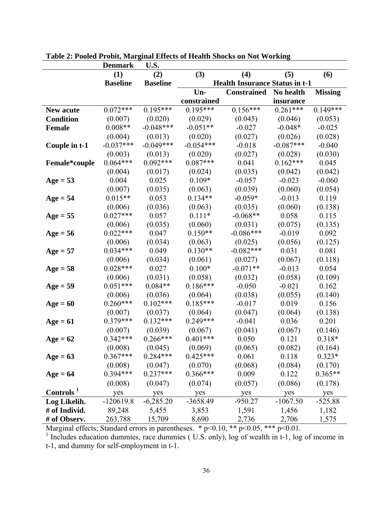|                       | <b>Denmark</b>  | U.S.            |             |                                       |             |                |
|-----------------------|-----------------|-----------------|-------------|---------------------------------------|-------------|----------------|
|                       | (1)             | (2)             | (3)         | (4)                                   | (5)         | (6)            |
|                       | <b>Baseline</b> | <b>Baseline</b> |             | <b>Health Insurance Status in t-1</b> |             |                |
|                       |                 |                 | Un-         | <b>Constrained</b>                    | No health   | <b>Missing</b> |
|                       |                 |                 | constrained |                                       | insurance   |                |
| <b>New acute</b>      | $0.072***$      | $0.195***$      | $0.195***$  | $0.156***$                            | $0.261***$  | $0.149***$     |
| <b>Condition</b>      | (0.007)         | (0.020)         | (0.029)     | (0.045)                               | (0.046)     | (0.053)        |
| <b>Female</b>         | $0.008**$       | $-0.048***$     | $-0.051**$  | $-0.027$                              | $-0.048*$   | $-0.025$       |
|                       | (0.004)         | (0.013)         | (0.020)     | (0.027)                               | (0.026)     | (0.028)        |
| Couple in t-1         | $-0.037***$     | $-0.049***$     | $-0.054***$ | $-0.018$                              | $-0.087***$ | $-0.040$       |
|                       | (0.003)         | (0.013)         | (0.020)     | (0.027)                               | (0.028)     | (0.030)        |
| Female*couple         | $0.064***$      | $0.092***$      | $0.087***$  | 0.041                                 | $0.162***$  | 0.045          |
|                       | (0.004)         | (0.017)         | (0.024)     | (0.035)                               | (0.042)     | (0.042)        |
| $Age = 53$            | 0.004           | 0.025           | $0.109*$    | $-0.057$                              | $-0.023$    | $-0.060$       |
|                       | (0.007)         | (0.035)         | (0.063)     | (0.039)                               | (0.060)     | (0.054)        |
| $Age = 54$            | $0.015**$       | 0.053           | $0.134**$   | $-0.059*$                             | $-0.013$    | 0.119          |
|                       | (0.006)         | (0.036)         | (0.063)     | (0.035)                               | (0.060)     | (0.138)        |
| $Age = 55$            | $0.027***$      | 0.057           | $0.111*$    | $-0.068**$                            | 0.058       | 0.115          |
|                       | (0.006)         | (0.035)         | (0.060)     | (0.031)                               | (0.075)     | (0.135)        |
| $Age = 56$            | $0.022***$      | 0.047           | $0.150**$   | $-0.086***$                           | $-0.019$    | 0.092          |
|                       | (0.006)         | (0.034)         | (0.063)     | (0.025)                               | (0.056)     | (0.125)        |
| $Age = 57$            | $0.034***$      | 0.049           | $0.130**$   | $-0.082***$                           | 0.031       | 0.081          |
|                       | (0.006)         | (0.034)         | (0.061)     | (0.027)                               | (0.067)     | (0.118)        |
| $Age = 58$            | $0.028***$      | 0.027           | $0.100*$    | $-0.071**$                            | $-0.013$    | 0.054          |
|                       | (0.006)         | (0.031)         | (0.058)     | (0.032)                               | (0.058)     | (0.109)        |
| $Age = 59$            | $0.051***$      | $0.084**$       | $0.186***$  | $-0.050$                              | $-0.021$    | 0.162          |
|                       | (0.006)         | (0.036)         | (0.064)     | (0.038)                               | (0.055)     | (0.140)        |
| $Age = 60$            | $0.260***$      | $0.102***$      | $0.185***$  | $-0.017$                              | 0.019       | 0.156          |
|                       | (0.007)         | (0.037)         | (0.064)     | (0.047)                               | (0.064)     | (0.138)        |
| $Age = 61$            | $0.379***$      | $0.132***$      | $0.249***$  | $-0.041$                              | 0.036       | 0.201          |
|                       | (0.007)         | (0.039)         | (0.067)     | (0.041)                               | (0.067)     | (0.146)        |
| $Age = 62$            | $0.342***$      | $0.266***$      | $0.401***$  | 0.050                                 | 0.121       | $0.318*$       |
|                       | (0.008)         | (0.045)         | (0.069)     | (0.065)                               | (0.082)     | (0.164)        |
| $Age = 63$            | $0.367***$      | $0.284***$      | $0.425***$  | 0.061                                 | 0.118       | $0.323*$       |
|                       | (0.008)         | (0.047)         | (0.070)     | (0.068)                               | (0.084)     | (0.170)        |
| $Age = 64$            | $0.394***$      | $0.237***$      | $0.366***$  | 0.009                                 | 0.122       | $0.365**$      |
|                       | (0.008)         | (0.047)         | (0.074)     | (0.057)                               | (0.086)     | (0.178)        |
| Controls <sup>1</sup> | yes             | yes             | yes         | yes                                   | yes         | yes            |
| Log Likelih.          | $-120619.8$     | $-6,285.20$     | $-3658.49$  | $-950.27$                             | $-1067.50$  | $-525.88$      |
| # of Individ.         | 89,248          | 5,455           | 3,853       | 1,591                                 | 1,456       | 1,182          |
| # of Observ.          | 263,788         | 15,709          | 8,690       | 2,736                                 | 2,706       | 1,575          |

**Table 2: Pooled Probit, Marginal Effects of Health Shocks on Not Working** 

Marginal effects; Standard errors in parentheses. \*  $p<0.10$ , \*\*  $p<0.05$ , \*\*\*  $p<0.01$ .<br><sup>1</sup> Includes education dummies, race dummies ( U.S. only), log of wealth in t-1, log of income in

t-1, and dummy for self-employment in t-1.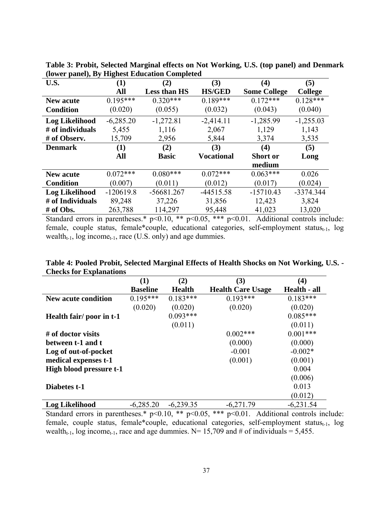| $\rightarrow$<br>U.S. | o<br>(1)    | (2)                 | (3)               | (4)                 | (5)            |
|-----------------------|-------------|---------------------|-------------------|---------------------|----------------|
|                       | All         | <b>Less than HS</b> | <b>HS/GED</b>     | <b>Some College</b> | <b>College</b> |
| <b>New acute</b>      | $0.195***$  | $0.320***$          | $0.189***$        | $0.172***$          | $0.128***$     |
| <b>Condition</b>      | (0.020)     | (0.055)             | (0.032)           | (0.043)             | (0.040)        |
| <b>Log Likelihood</b> | $-6,285.20$ | $-1,272.81$         | $-2,414.11$       | $-1,285.99$         | $-1,255.03$    |
| # of individuals      | 5,455       | 1,116               | 2,067             | 1,129               | 1,143          |
| # of Observ.          | 15,709      | 2,956               | 5,844             | 3,374               | 3,535          |
| <b>Denmark</b>        | (1)         | (2)                 | (3)               | (4)                 | (5)            |
|                       | All         | <b>Basic</b>        | <b>Vocational</b> | <b>Short or</b>     | Long           |
|                       |             |                     |                   | medium              |                |
| New acute             | $0.072***$  | $0.080***$          | $0.072***$        | $0.063***$          | 0.026          |
| <b>Condition</b>      | (0.007)     | (0.011)             | (0.012)           | (0.017)             | (0.024)        |
| <b>Log Likelihood</b> | $-120619.8$ | $-56681.267$        | $-44515.58$       | $-15710.43$         | -3374.344      |
| # of Individuals      | 89,248      | 37,226              | 31,856            | 12,423              | 3,824          |
| # of Obs.             | 263,788     | 114,297             | 95,448            | 41,023              | 13,020         |

**Table 3: Probit, Selected Marginal effects on Not Working, U.S. (top panel) and Denmark (lower panel), By Highest Education Completed** 

Standard errors in parentheses.\* p<0.10, \*\* p<0.05, \*\*\* p<0.01. Additional controls include: female, couple status, female\*couple, educational categories, self-employment status<sub>t-1</sub>, log wealth $_{t-1}$ , log income<sub>t-1</sub>, race (U.S. only) and age dummies.

| Table 4: Pooled Probit, Selected Marginal Effects of Health Shocks on Not Working, U.S. - |  |
|-------------------------------------------------------------------------------------------|--|
| <b>Checks for Explanations</b>                                                            |  |

| спеско гот партанатнопо  |                 |               |                          |              |
|--------------------------|-----------------|---------------|--------------------------|--------------|
|                          | $\bf(1)$        | (2)           | (3)                      | (4)          |
|                          | <b>Baseline</b> | <b>Health</b> | <b>Health Care Usage</b> | Health - all |
| New acute condition      | $0.195***$      | $0.183***$    | $0.193***$               | $0.183***$   |
|                          | (0.020)         | (0.020)       | (0.020)                  | (0.020)      |
| Health fair/ poor in t-1 |                 | $0.093***$    |                          | $0.085***$   |
|                          |                 | (0.011)       |                          | (0.011)      |
| # of doctor visits       |                 |               | $0.002***$               | $0.001***$   |
| between t-1 and t        |                 |               | (0.000)                  | (0.000)      |
| Log of out-of-pocket     |                 |               | $-0.001$                 | $-0.002*$    |
| medical expenses t-1     |                 |               | (0.001)                  | (0.001)      |
| High blood pressure t-1  |                 |               |                          | 0.004        |
|                          |                 |               |                          | (0.006)      |
| Diabetes t-1             |                 |               |                          | 0.013        |
|                          |                 |               |                          | (0.012)      |
| <b>Log Likelihood</b>    | $-6,285.20$     | $-6,239.35$   | $-6,271.79$              | $-6,231.54$  |

Standard errors in parentheses.\*  $p<0.10$ , \*\*  $p<0.05$ , \*\*\*  $p<0.01$ . Additional controls include: female, couple status, female\*couple, educational categories, self-employment status $_{t-1}$ , log wealth<sub>t-1</sub>, log income<sub>t-1</sub>, race and age dummies. N= 15,709 and # of individuals = 5,455.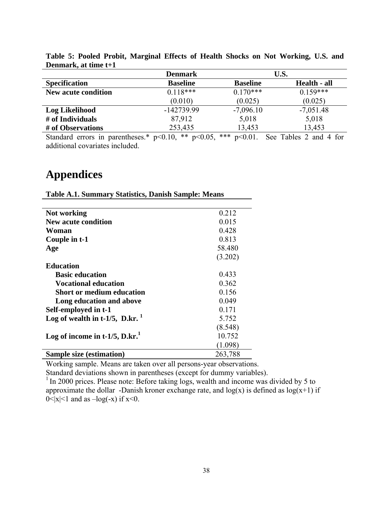|                            | <b>Denmark</b>                                        |                                     | U.S.                          |
|----------------------------|-------------------------------------------------------|-------------------------------------|-------------------------------|
| <b>Specification</b>       | <b>Baseline</b>                                       | <b>Baseline</b>                     | Health - all                  |
| <b>New acute condition</b> | $0.118***$                                            | $0.170***$                          | $0.159***$                    |
|                            | (0.010)                                               | (0.025)                             | (0.025)                       |
| Log Likelihood             | -142739.99                                            | $-7,096.10$                         | $-7,051.48$                   |
| # of Individuals           | 87,912                                                | 5,018                               | 5,018                         |
| # of Observations          | 253,435                                               | 13,453                              | 13,453                        |
| $\sim$ 1 1<br>$\cdot$ 1    | $\sim$ 4.0 and $\sim$<br>$\sim$ $\sim$ $\sim$<br>$-1$ | ala ala ala<br>$\sim$ 0.4<br>$\sim$ | $-11$<br>$\sim$ $\sim$ $\sim$ |

**Table 5: Pooled Probit, Marginal Effects of Health Shocks on Not Working, U.S. and Denmark, at time t+1** 

Standard errors in parentheses.\*  $p<0.10$ , \*\*  $p<0.05$ , \*\*\*  $p<0.01$ . See Tables 2 and 4 for additional covariates included.

# **Appendices**

| Not working                                        | 0.212   |
|----------------------------------------------------|---------|
| <b>New acute condition</b>                         | 0.015   |
| Woman                                              | 0.428   |
| Couple in t-1                                      | 0.813   |
| Age                                                | 58.480  |
|                                                    | (3.202) |
| <b>Education</b>                                   |         |
| <b>Basic education</b>                             | 0.433   |
| <b>Vocational education</b>                        | 0.362   |
| Short or medium education                          | 0.156   |
| Long education and above                           | 0.049   |
| Self-employed in t-1                               | 0.171   |
| Log of wealth in t-1/5, $D \cdot kr.$ <sup>1</sup> | 5.752   |
|                                                    | (8.548) |
| Log of income in t-1/5, $D.kr1$                    | 10.752  |
|                                                    | (1.098) |
| <b>Sample size (estimation)</b>                    | 263,788 |

**Table A.1. Summary Statistics, Danish Sample: Means**

Working sample. Means are taken over all persons-year observations.

Standard deviations shown in parentheses (except for dummy variables).

<sup>1</sup> In 2000 prices. Please note: Before taking logs, wealth and income was divided by 5 to approximate the dollar -Danish kroner exchange rate, and  $log(x)$  is defined as  $log(x+1)$  if  $0 < |x| < 1$  and as  $-\log(-x)$  if  $x < 0$ .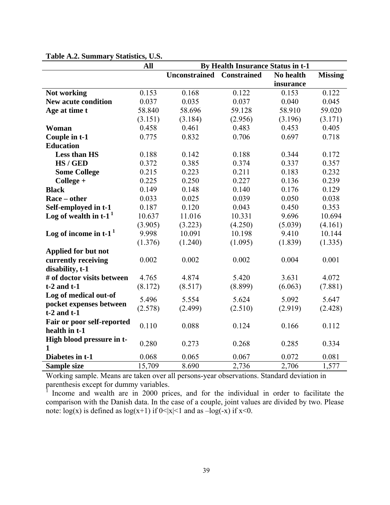|                                     | <b>All</b> | By Health Insurance Status in t-1 |                    |           |                |
|-------------------------------------|------------|-----------------------------------|--------------------|-----------|----------------|
|                                     |            | <b>Unconstrained</b>              | <b>Constrained</b> | No health | <b>Missing</b> |
|                                     |            |                                   |                    | insurance |                |
| Not working                         | 0.153      | 0.168                             | 0.122              | 0.153     | 0.122          |
| <b>New acute condition</b>          | 0.037      | 0.035                             | 0.037              | 0.040     | 0.045          |
| Age at time t                       | 58.840     | 58.696                            | 59.128             | 58.910    | 59.020         |
|                                     | (3.151)    | (3.184)                           | (2.956)            | (3.196)   | (3.171)        |
| Woman                               | 0.458      | 0.461                             | 0.483              | 0.453     | 0.405          |
| Couple in t-1                       | 0.775      | 0.832                             | 0.706              | 0.697     | 0.718          |
| <b>Education</b>                    |            |                                   |                    |           |                |
| Less than HS                        | 0.188      | 0.142                             | 0.188              | 0.344     | 0.172          |
| HS / GED                            | 0.372      | 0.385                             | 0.374              | 0.337     | 0.357          |
| <b>Some College</b>                 | 0.215      | 0.223                             | 0.211              | 0.183     | 0.232          |
| $Collect +$                         | 0.225      | 0.250                             | 0.227              | 0.136     | 0.239          |
| <b>Black</b>                        | 0.149      | 0.148                             | 0.140              | 0.176     | 0.129          |
| Race – other                        | 0.033      | 0.025                             | 0.039              | 0.050     | 0.038          |
| Self-employed in t-1                | 0.187      | 0.120                             | 0.043              | 0.450     | 0.353          |
| Log of wealth in $t-1$ <sup>1</sup> | 10.637     | 11.016                            | 10.331             | 9.696     | 10.694         |
|                                     | (3.905)    | (3.223)                           | (4.250)            | (5.039)   | (4.161)        |
| Log of income in $t-1$ <sup>1</sup> | 9.998      | 10.091                            | 10.198             | 9.410     | 10.144         |
|                                     | (1.376)    | (1.240)                           | (1.095)            | (1.839)   | (1.335)        |
| Applied for but not                 |            |                                   |                    |           |                |
| currently receiving                 | 0.002      | 0.002                             | 0.002              | 0.004     | 0.001          |
| disability, t-1                     |            |                                   |                    |           |                |
| # of doctor visits between          | 4.765      | 4.874                             | 5.420              | 3.631     | 4.072          |
| $t-2$ and $t-1$                     | (8.172)    | (8.517)                           | (8.899)            | (6.063)   | (7.881)        |
| Log of medical out-of               | 5.496      | 5.554                             | 5.624              | 5.092     | 5.647          |
| pocket expenses between             | (2.578)    | (2.499)                           | (2.510)            | (2.919)   | (2.428)        |
| $t-2$ and $t-1$                     |            |                                   |                    |           |                |
| Fair or poor self-reported          | 0.110      | 0.088                             | 0.124              | 0.166     | 0.112          |
| health in t-1                       |            |                                   |                    |           |                |
| High blood pressure in t-           | 0.280      | 0.273                             | 0.268              | 0.285     | 0.334          |
| 1                                   |            |                                   |                    |           |                |
| Diabetes in t-1                     | 0.068      | 0.065                             | 0.067              | 0.072     | 0.081          |
| Sample size                         | 15,709     | 8.690                             | 2,736              | 2,706     | 1,577          |

### **Table A.2. Summary Statistics, U.S.**

Working sample. Means are taken over all persons-year observations. Standard deviation in parenthesis except for dummy variables.

1 Income and wealth are in 2000 prices, and for the individual in order to facilitate the comparison with the Danish data. In the case of a couple, joint values are divided by two. Please note:  $log(x)$  is defined as  $log(x+1)$  if  $0<|x|<1$  and as  $-log(-x)$  if  $x<0$ .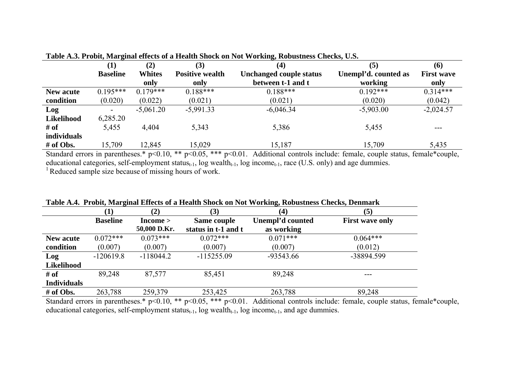|             | (1)             | (2)           | (3)                    | ້<br>$\left( 4\right)$         | (5)                  | (6)               |
|-------------|-----------------|---------------|------------------------|--------------------------------|----------------------|-------------------|
|             | <b>Baseline</b> | <b>Whites</b> | <b>Positive wealth</b> | <b>Unchanged couple status</b> | Unempl'd. counted as | <b>First wave</b> |
|             |                 | only          | only                   | between t-1 and t              | working              | only              |
| New acute   | $0.195***$      | $0.179***$    | $0.188***$             | $0.188***$                     | $0.192***$           | $0.314***$        |
| condition   | (0.020)         | (0.022)       | (0.021)                | (0.021)                        | (0.020)              | (0.042)           |
| Log         | $\blacksquare$  | $-5,061.20$   | $-5,991.33$            | $-6,046.34$                    | $-5,903.00$          | $-2,024.57$       |
| Likelihood  | 6,285.20        |               |                        |                                |                      |                   |
| # of        | 5,455           | 4,404         | 5,343                  | 5,386                          | 5,455                | $- - -$           |
| individuals |                 |               |                        |                                |                      |                   |
| # of Obs.   | 15,709          | 12,845        | 15,029                 | 15,187                         | 15,709               | 5,435             |

**Table A.3. Probit, Marginal effects of a Health Shock on Not Working, Robustness Checks, U.S.**

Standard errors in parentheses.\* p<0.10, \*\* p<0.05, \*\*\* p<0.01. Additional controls include: female, couple status, female\*couple, educational categories, self-employment status<sub>t-1</sub>, log wealth<sub>t-1</sub>, log income<sub>t-1</sub>, race (U.S. only) and age dummies. <sup>1</sup> Reduced sample size because of missing hours of work.

|                    |                 | (2)                      | (3)                                | (4)                            | (5)                    |
|--------------------|-----------------|--------------------------|------------------------------------|--------------------------------|------------------------|
|                    | <b>Baseline</b> | $Income$<br>50,000 D.Kr. | Same couple<br>status in t-1 and t | Unempl'd counted<br>as working | <b>First wave only</b> |
| <b>New acute</b>   | $0.072***$      | $0.073***$               | $0.072***$                         | $0.071***$                     | $0.064***$             |
| condition          | (0.007)         | (0.007)                  | (0.007)                            | (0.007)                        | (0.012)                |
| Log                | $-120619.8$     | $-118044.2$              | $-115255.09$                       | $-93543.66$                    | -38894.599             |
| Likelihood         |                 |                          |                                    |                                |                        |
| # of               | 89,248          | 87,577                   | 85,451                             | 89,248                         | ---                    |
| <b>Individuals</b> |                 |                          |                                    |                                |                        |
| # of Obs.          | 263,788         | 259,379                  | 253,425                            | 263,788                        | 89,248                 |

**Table A.4. Probit, Marginal Effects of a Health Shock on Not Working, Robustness Checks, Denmark**

Standard errors in parentheses.\* p<0.10, \*\* p<0.05, \*\*\* p<0.01. Additional controls include: female, couple status, female\*couple, educational categories, self-employment status $_{t-1}$ , log wealth $_{t-1}$ , log income $_{t-1}$ , and age dummies.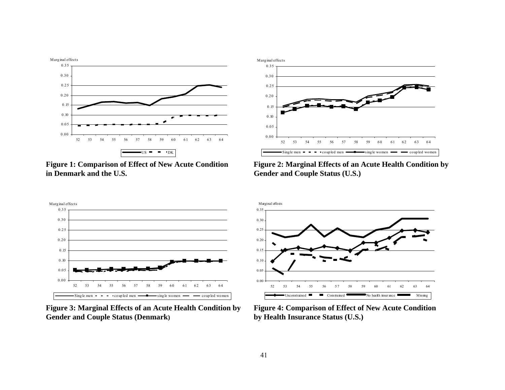



**Figure 1: Comparison of Effect of New Acute Condition Figure 2: Marginal Effects of an Acute Health Condition by in Denmark and the U.S. in Gender and Couple Status (U.S.)** 



**Figure 3: Marginal Effects of an Acute Health Condition by Figure 4: Comparison of Effect of New Acute Condition Gender and Couple Status (Denmark) by Health Insurance Status (U.S.)**